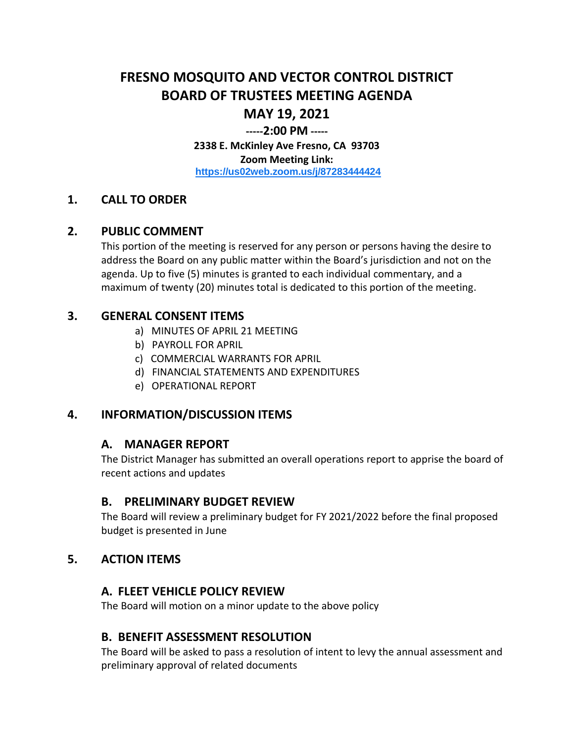# **FRESNO MOSQUITO AND VECTOR CONTROL DISTRICT BOARD OF TRUSTEES MEETING AGENDA MAY 19, 2021**

# **-----2:00 PM -----**

**2338 E. McKinley Ave Fresno, CA 93703 Zoom Meeting Link: <https://us02web.zoom.us/j/87283444424>**

## **1. CALL TO ORDER**

#### **2. PUBLIC COMMENT**

This portion of the meeting is reserved for any person or persons having the desire to address the Board on any public matter within the Board's jurisdiction and not on the agenda. Up to five (5) minutes is granted to each individual commentary, and a maximum of twenty (20) minutes total is dedicated to this portion of the meeting.

## **3. GENERAL CONSENT ITEMS**

- a) MINUTES OF APRIL 21 MEETING
- b) PAYROLL FOR APRIL
- c) COMMERCIAL WARRANTS FOR APRIL
- d) FINANCIAL STATEMENTS AND EXPENDITURES
- e) OPERATIONAL REPORT

## **4. INFORMATION/DISCUSSION ITEMS**

## **A. MANAGER REPORT**

The District Manager has submitted an overall operations report to apprise the board of recent actions and updates

#### **B. PRELIMINARY BUDGET REVIEW**

The Board will review a preliminary budget for FY 2021/2022 before the final proposed budget is presented in June

#### **5. ACTION ITEMS**

#### **A. FLEET VEHICLE POLICY REVIEW**

The Board will motion on a minor update to the above policy

## **B. BENEFIT ASSESSMENT RESOLUTION**

The Board will be asked to pass a resolution of intent to levy the annual assessment and preliminary approval of related documents